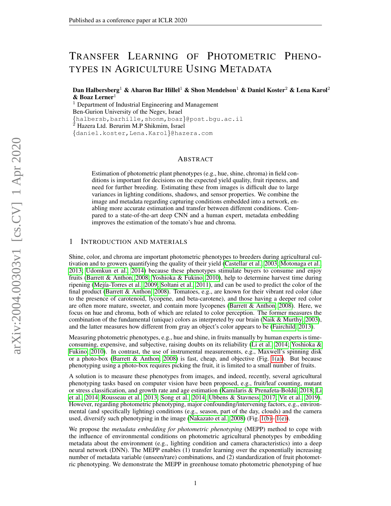# TRANSFER LEARNING OF PHOTOMETRIC PHENO-TYPES IN AGRICULTURE USING METADATA

Dan Halbersberg<sup>1</sup> & Aharon Bar Hillel<sup>1</sup> & Shon Mendelson<sup>1</sup> & Daniel Koster<sup>2</sup> & Lena Karol<sup>2</sup>  $&$  Boaz Lerner<sup>1</sup>

 $1$  Department of Industrial Engineering and Management Ben-Gurion University of the Negev, Israel {halbersb,barhille,shonm,boaz}@post.bgu.ac.il  $2$  Hazera Ltd. Berurim M.P Shikmim, Israel {daniel.koster,Lena.Karol}@hazera.com

## ABSTRACT

Estimation of photometric plant phenotypes (e.g., hue, shine, chroma) in field conditions is important for decisions on the expected yield quality, fruit ripeness, and need for further breeding. Estimating these from images is difficult due to large variances in lighting conditions, shadows, and sensor properties. We combine the image and metadata regarding capturing conditions embedded into a network, enabling more accurate estimation and transfer between different conditions. Compared to a state-of-the-art deep CNN and a human expert, metadata embedding improves the estimation of the tomato's hue and chroma.

### 1 INTRODUCTION AND MATERIALS

Shine, color, and chroma are important photometric phenotypes to breeders during agricultural cultivation and to growers quantifying the quality of their yield [\(Castellar et al., 2003;](#page-4-0) [Motonaga et al.,](#page-4-1) [2013;](#page-4-1) [Udomkun et al., 2014\)](#page-5-0) because these phenotypes stimulate buyers to consume and enjoy fruits [\(Barrett & Anthon, 2008;](#page-4-2) [Yoshioka & Fukino, 2010\)](#page-5-1), help to determine harvest time during ripening (Mejía-Torres et al., 2009; [Soltani et al., 2011\)](#page-4-4), and can be used to predict the color of the final product [\(Barrett & Anthon, 2008\)](#page-4-2). Tomatoes, e.g., are known for their vibrant red color (due to the presence of carotenoid, lycopene, and beta-carotene), and those having a deeper red color are often more mature, sweeter, and contain more lycopenes [\(Barrett & Anthon, 2008\)](#page-4-2). Here, we focus on hue and chroma, both of which are related to color perception. The former measures the combination of the fundamental (unique) colors as interpreted by our brain [\(Naik & Murthy, 2003\)](#page-4-5), and the latter measures how different from gray an object's color appears to be [\(Fairchild, 2013\)](#page-4-6).

Measuring photometric phenotypes, e.g., hue and shine, in fruits manually by human experts is timeconsuming, expensive, and subjective, raising doubts on its reliability [\(Li et al., 2014;](#page-4-7) [Yoshioka &](#page-5-1) [Fukino, 2010\)](#page-5-1). In contrast, the use of instrumental measurements, e.g., Maxwell's spinning disk or a photo-box [\(Barrett & Anthon, 2008\)](#page-4-2) is fast, cheap, and objective (Fig. [1\(a\)\)](#page-1-0). But because phenotyping using a photo-box requires picking the fruit, it is limited to a small number of fruits.

A solution is to measure these phenotypes from images, and indeed, recently, several agricultural phenotyping tasks based on computer vision have been proposed, e.g., fruit/leaf counting, mutant or stress classification, and growth rate and age estimation (Kamilaris & Prenafeta-Boldú, 2018; [Li](#page-4-7) [et al., 2014;](#page-4-7) [Rousseau et al., 2013;](#page-4-9) [Song et al., 2014;](#page-4-10) [Ubbens & Stavness, 2017;](#page-5-2) [Vit et al., 2019\)](#page-5-3). However, regarding photometric phenotyping, major confounding/intervening factors, e.g., environmental (and specifically lighting) conditions (e.g., season, part of the day, clouds) and the camera used, diversify such phenotyping in the image [\(Nakazato et al., 2008\)](#page-4-11) (Fig. [1\(b\)–](#page-1-1) [1\(e\)\)](#page-1-2).

We propose the *metadata embedding for photometric phenotyping* (MEPP) method to cope with the influence of environmental conditions on photometric agricultural phenotypes by embedding metadata about the environment (e.g., lighting condition and camera characteristics) into a deep neural network (DNN). The MEPP enables (1) transfer learning over the exponentially increasing number of metadata variable (unseen/rare) combinations, and (2) standardization of fruit photometric phenotyping. We demonstrate the MEPP in greenhouse tomato photometric phenotyping of hue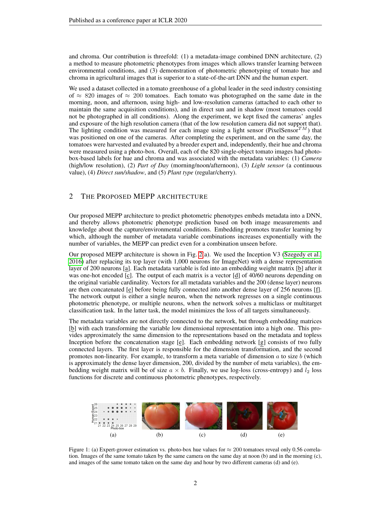and chroma. Our contribution is threefold: (1) a metadata-image combined DNN architecture, (2) a method to measure photometric phenotypes from images which allows transfer learning between environmental conditions, and (3) demonstration of photometric phenotyping of tomato hue and chroma in agricultural images that is superior to a state-of-the-art DNN and the human expert.

We used a dataset collected in a tomato greenhouse of a global leader in the seed industry consisting of  $\approx$  820 images of  $\approx$  200 tomatoes. Each tomato was photographed on the same date in the morning, noon, and afternoon, using high- and low-resolution cameras (attached to each other to maintain the same acquisition conditions), and in direct sun and in shadow (most tomatoes could not be photographed in all conditions). Along the experiment, we kept fixed the cameras' angles and exposure of the high resolution camera (that of the low resolution camera did not support that). The lighting condition was measured for each image using a light sensor (PixelSensor $T<sup>M</sup>$ ) that was positioned on one of the cameras. After completing the experiment, and on the same day, the tomatoes were harvested and evaluated by a breeder expert and, independently, their hue and chroma were measured using a photo-box. Overall, each of the 820 single-object tomato images had photobox-based labels for hue and chroma and was associated with the metadata variables: (1) *Camera* (high/low resolution), (2) *Part of Day* (morning/noon/afternoon), (3) *Light sensor* (a continuous value), (4) *Direct sun/shadow*, and (5) *Plant type* (regular/cherry).

## 2 THE PROPOSED MEPP ARCHITECTURE

Our proposed MEPP architecture to predict photometric phenotypes embeds metadata into a DNN, and thereby allows photometric phenotype prediction based on both image measurements and knowledge about the capture/environmental conditions. Embedding promotes transfer learning by which, although the number of metadata variable combinations increases exponentially with the number of variables, the MEPP can predict even for a combination unseen before.

Our proposed MEPP architecture is shown in Fig. [2\(](#page-2-0)a). We used the Inception V3 [\(Szegedy et al.,](#page-5-4) [2016\)](#page-5-4) after replacing its top layer (with 1,000 neurons for ImageNet) with a dense representation layer of 200 neurons [a]. Each metadata variable is fed into an embedding weight matrix [b] after it was one-hot encoded [c]. The output of each matrix is a vector [d] of 40/60 neurons depending on the original variable cardinality. Vectors for all metadata variables and the 200 (dense layer) neurons are then concatenated [e] before being fully connected into another dense layer of 256 neurons [f]. The network output is either a single neuron, when the network regresses on a single continuous photometric phenotype, or multiple neurons, when the network solves a multiclass or multitarget classification task. In the latter task, the model minimizes the loss of all targets simultaneously.

The metadata variables are not directly connected to the network, but through embedding matrices [b] with each transforming the variable low dimensional representation into a high one. This provides approximately the same dimension to the representations based on the metadata and topless Inception before the concatenation stage [e]. Each embedding network [g] consists of two fully connected layers. The first layer is responsible for the dimension transformation, and the second promotes non-linearity. For example, to transform a meta variable of dimension  $a$  to size  $b$  (which is approximately the dense layer dimension, 200, divided by the number of meta variables), the embedding weight matrix will be of size  $a \times b$ . Finally, we use log-loss (cross-entropy) and  $l_2$  loss functions for discrete and continuous photometric phenotypes, respectively.

<span id="page-1-2"></span><span id="page-1-1"></span><span id="page-1-0"></span>

Figure 1: (a) Expert-grower estimation vs. photo-box hue values for  $\approx 200$  tomatoes reveal only 0.56 correlation. Images of the same tomato taken by the same camera on the same day at noon (b) and in the morning (c), and images of the same tomato taken on the same day and hour by two different cameras (d) and (e).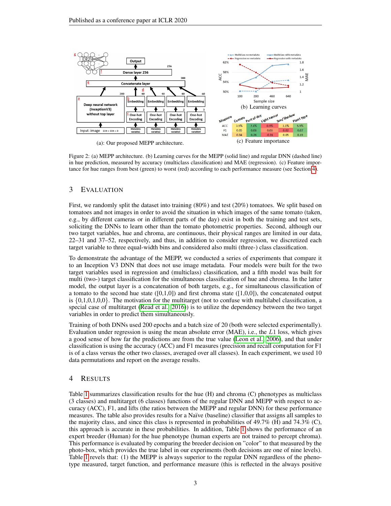<span id="page-2-2"></span><span id="page-2-0"></span>

<span id="page-2-3"></span>Figure 2: (a) MEPP architecture. (b) Learning curves for the MEPP (solid line) and regular DNN (dashed line) in hue prediction, measured by accuracy (multiclass classification) and MAE (regression). (c) Feature importance for hue ranges from best (green) to worst (red) according to each performance measure (see Section [4\)](#page-2-1).

## 3 EVALUATION

First, we randomly split the dataset into training (80%) and test (20%) tomatoes. We split based on tomatoes and not images in order to avoid the situation in which images of the same tomato (taken, e.g., by different cameras or in different parts of the day) exist in both the training and test sets, soliciting the DNNs to learn other than the tomato photometric properties. Second, although our two target variables, hue and chroma, are continuous, their physical ranges are limited in our data, 22–31 and 37–52, respectively, and thus, in addition to consider regression, we discretized each target variable to three equal-width bins and considered also multi (three-) class classification.

To demonstrate the advantage of the MEPP, we conducted a series of experiments that compare it to an Inception V3 DNN that does not use image metadata. Four models were built for the two target variables used in regression and (multiclass) classification, and a fifth model was built for multi (two-) target classification for the simultaneous classification of hue and chroma. In the latter model, the output layer is a concatenation of both targets, e.g., for simultaneous classification of a tomato to the second hue state  $([0,1,0])$  and first chroma state  $([1,0,0])$ , the concatenated output is  $\{0,1,0,1,0,0\}$ . The motivation for the multitarget (not to confuse with multilabel classification, a special case of multitarget [\(Read et al., 2016\)](#page-4-12)) is to utilize the dependency between the two target variables in order to predict them simultaneously.

Training of both DNNs used 200 epochs and a batch size of 20 (both were selected experimentally). Evaluation under regression is using the mean absolute error  $(MAE)$ , i.e., the L1 loss, which gives a good sense of how far the predictions are from the true value [\(Leon et al., 2006\)](#page-4-13), and that under classification is using the accuracy (ACC) and F1 measures (precision and recall computation for F1 is of a class versus the other two classes, averaged over all classes). In each experiment, we used 10 data permutations and report on the average results.

## <span id="page-2-1"></span>4 RESULTS

Table [1](#page-3-0) summarizes classification results for the hue (H) and chroma (C) phenotypes as multiclass (3 classes) and multitarget (6 classes) functions of the regular DNN and MEPP with respect to accuracy (ACC), F1, and lifts (the ratios between the MEPP and regular DNN) for these performance measures. The table also provides results for a Naïve (baseline) classifier that assigns all samples to the majority class, and since this class is represented in probabilities of  $49.7\%$  (H) and  $74.3\%$  (C), this approach is accurate in these probabilities. In addition, Table [1](#page-3-0) shows the performance of an expert breeder (Human) for the hue phenotype (human experts are not trained to percept chroma). This performance is evaluated by comparing the breeder decision on "color" to that measured by the photo-box, which provides the true label in our experiments (both decisions are one of nine levels). Table [1](#page-3-0) revels that: (1) the MEPP is always superior to the regular DNN regardless of the phenotype measured, target function, and performance measure (this is reflected in the always positive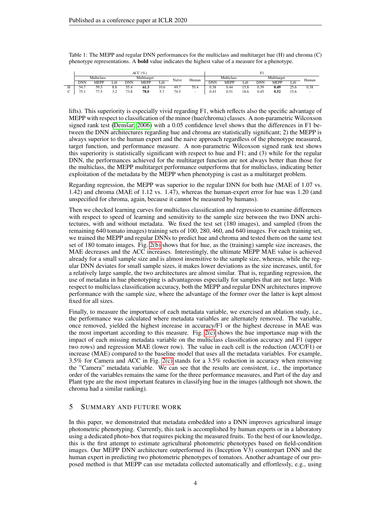$\text{ACC}(\%)$  F1 Multiclass Multitarget Multitarget Naïve Human Multiclass Multitarget Human Multiclass Multitarget Human DNN MEPP Lift DNN MEPP Lift Human H 54.7 59.5 8.8 55.4 61.3 10.6 49.7 55.4 0.38 0.44 15.8 0.39 0.49 25.6 0.38  $C$  75.1 77.5 3.2 73.8 78.0 5.7 74.3 - 0.43 0.51 18.6 0.45 0.52 15.6 -

<span id="page-3-0"></span>Table 1: The MEPP and regular DNN performances for the multiclass and multitarget hue (H) and chroma (C) phenotype representations. A bold value indicates the highest value of a measure for a phenotype.

lifts). This superiority is especially vivid regarding F1, which reflects also the specific advantage of MEPP with respect to classification of the minor (hue/chroma) classes. A non-parametric Wilcoxson signed rank test (Demšar, 2006) with a 0.05 confidence level shows that the differences in  $F1$  between the DNN architectures regarding hue and chroma are statistically significant; 2) the MEPP is always superior to the human expert and the naive approach regardless of the phenotype measured, target function, and performance measure. A non-parametric Wilcoxson signed rank test shows this superiority is statistically significant with respect to hue and F1; and (3) while for the regular DNN, the performances achieved for the multitarget function are not always better than those for the multiclass, the MEPP multitarget performance outperforms that for multiclass, indicating better exploitation of the metadata by the MEPP when phenotyping is cast as a multitarget problem.

Regarding regression, the MEPP was superior to the regular DNN for both hue (MAE of 1.07 vs. 1.42) and chroma (MAE of 1.12 vs. 1.47), whereas the human-expert error for hue was 1.20 (and unspecified for chroma, again, because it cannot be measured by humans).

Then we checked learning curves for multiclass classification and regression to examine differences with respect to speed of learning and sensitivity to the sample size between the two DNN architectures, with and without metadata. We fixed the test set (180 images), and sampled (from the remaining 640 tomato images) training sets of 100, 280, 460, and 640 images. For each training set, we trained the MEPP and regular DNNs to predict hue and chroma and tested them on the same test set of 180 tomato images. Fig. [2\(b\)](#page-2-2) shows that for hue, as the (training) sample size increases, the MAE decreases and the ACC increases. Interestingly, the ultimate MEPP MAE value is achieved already for a small sample size and is almost insensitive to the sample size, whereas, while the regular DNN deviates for small sample sizes, it makes lower deviations as the size increases, until, for a relatively large sample, the two architectures are almost similar. That is, regarding regression, the use of metadata in hue phenotyping is advantageous especially for samples that are not large. With respect to multiclass classification accuracy, both the MEPP and regular DNN architectures improve performance with the sample size, where the advantage of the former over the latter is kept almost fixed for all sizes.

Finally, to measure the importance of each metadata variable, we exercised an ablation study, i.e., the performance was calculated where metadata variables are alternately removed. The variable, once removed, yielded the highest increase in accuracy/F1 or the highest decrease in MAE was the most important according to this measure. Fig.  $2(c)$  shows the hue importance map with the impact of each missing metadata variable on the multiclass classification accuracy and F1 (upper two rows) and regression MAE (lower row). The value in each cell is the reduction (ACC/F1) or increase (MAE) compared to the baseline model that uses all the metadata variables. For example, 3.5% for Camera and ACC in Fig. [2\(c\)](#page-2-3) stands for a 3.5% reduction in accuracy when removing the "Camera" metadata variable. We can see that the results are consistent, i.e., the importance order of the variables remains the same for the three performance measures, and Part of the day and Plant type are the most important features in classifying hue in the images (although not shown, the chroma had a similar ranking).

### 5 SUMMARY AND FUTURE WORK

In this paper, we demonstrated that metadata embedded into a DNN improves agricultural image photometric phenotyping. Currently, this task is accomplished by human experts or in a laboratory using a dedicated photo-box that requires picking the measured fruits. To the best of our knowledge, this is the first attempt to estimate agricultural photometric phenotypes based on field-condition images. Our MEPP DNN architecture outperformed its (Inception V3) counterpart DNN and the human expert in predicting two photometric phenotypes of tomatoes. Another advantage of our proposed method is that MEPP can use metadata collected automatically and effortlessly, e.g., using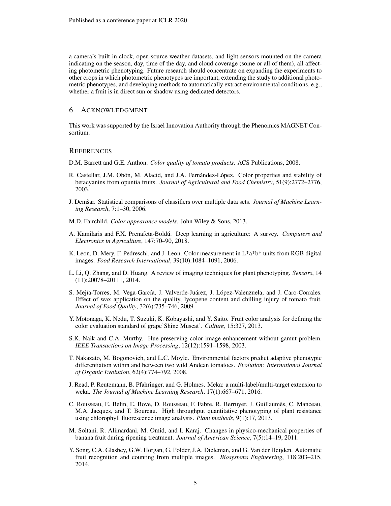a camera's built-in clock, open-source weather datasets, and light sensors mounted on the camera indicating on the season, day, time of the day, and cloud coverage (some or all of them), all affecting photometric phenotyping. Future research should concentrate on expanding the experiments to other crops in which photometric phenotypes are important, extending the study to additional photometric phenotypes, and developing methods to automatically extract environmental conditions, e.g., whether a fruit is in direct sun or shadow using dedicated detectors.

#### 6 ACKNOWLEDGMENT

This work was supported by the Israel Innovation Authority through the Phenomics MAGNET Consortium.

#### **REFERENCES**

<span id="page-4-2"></span>D.M. Barrett and G.E. Anthon. *Color quality of tomato products*. ACS Publications, 2008.

- <span id="page-4-0"></span>R. Castellar, J.M. Obón, M. Alacid, and J.A. Fernández-López. Color properties and stability of betacyanins from opuntia fruits. *Journal of Agricultural and Food Chemistry*, 51(9):2772–2776, 2003.
- <span id="page-4-14"></span>J. Demšar. Statistical comparisons of classifiers over multiple data sets. *Journal of Machine Learning Research*, 7:1–30, 2006.
- <span id="page-4-6"></span>M.D. Fairchild. *Color appearance models*. John Wiley & Sons, 2013.
- <span id="page-4-8"></span>A. Kamilaris and F.X. Prenafeta-Boldú. Deep learning in agriculture: A survey. Computers and *Electronics in Agriculture*, 147:70–90, 2018.
- <span id="page-4-13"></span>K. Leon, D. Mery, F. Pedreschi, and J. Leon. Color measurement in L\*a\*b\* units from RGB digital images. *Food Research International*, 39(10):1084–1091, 2006.
- <span id="page-4-7"></span>L. Li, Q. Zhang, and D. Huang. A review of imaging techniques for plant phenotyping. *Sensors*, 14 (11):20078–20111, 2014.
- <span id="page-4-3"></span>S. Mejía-Torres, M. Vega-García, J. Valverde-Juárez, J. López-Valenzuela, and J. Caro-Corrales. Effect of wax application on the quality, lycopene content and chilling injury of tomato fruit. *Journal of Food Quality*, 32(6):735–746, 2009.
- <span id="page-4-1"></span>Y. Motonaga, K. Nedu, T. Suzuki, K. Kobayashi, and Y. Saito. Fruit color analysis for defining the color evaluation standard of grape'Shine Muscat'. *Culture*, 15:327, 2013.
- <span id="page-4-5"></span>S.K. Naik and C.A. Murthy. Hue-preserving color image enhancement without gamut problem. *IEEE Transactions on Image Processing*, 12(12):1591–1598, 2003.
- <span id="page-4-11"></span>T. Nakazato, M. Bogonovich, and L.C. Moyle. Environmental factors predict adaptive phenotypic differentiation within and between two wild Andean tomatoes. *Evolution: International Journal of Organic Evolution*, 62(4):774–792, 2008.
- <span id="page-4-12"></span>J. Read, P. Reutemann, B. Pfahringer, and G. Holmes. Meka: a multi-label/multi-target extension to weka. *The Journal of Machine Learning Research*, 17(1):667–671, 2016.
- <span id="page-4-9"></span>C. Rousseau, E. Belin, E. Bove, D. Rousseau, F. Fabre, R. Berruyer, J. Guillaumes, C. Manceau, ` M.A. Jacques, and T. Boureau. High throughput quantitative phenotyping of plant resistance using chlorophyll fluorescence image analysis. *Plant methods*, 9(1):17, 2013.
- <span id="page-4-4"></span>M. Soltani, R. Alimardani, M. Omid, and I. Karaj. Changes in physico-mechanical properties of banana fruit during ripening treatment. *Journal of American Science*, 7(5):14–19, 2011.
- <span id="page-4-10"></span>Y. Song, C.A. Glasbey, G.W. Horgan, G. Polder, J.A. Dieleman, and G. Van der Heijden. Automatic fruit recognition and counting from multiple images. *Biosystems Engineering*, 118:203–215, 2014.